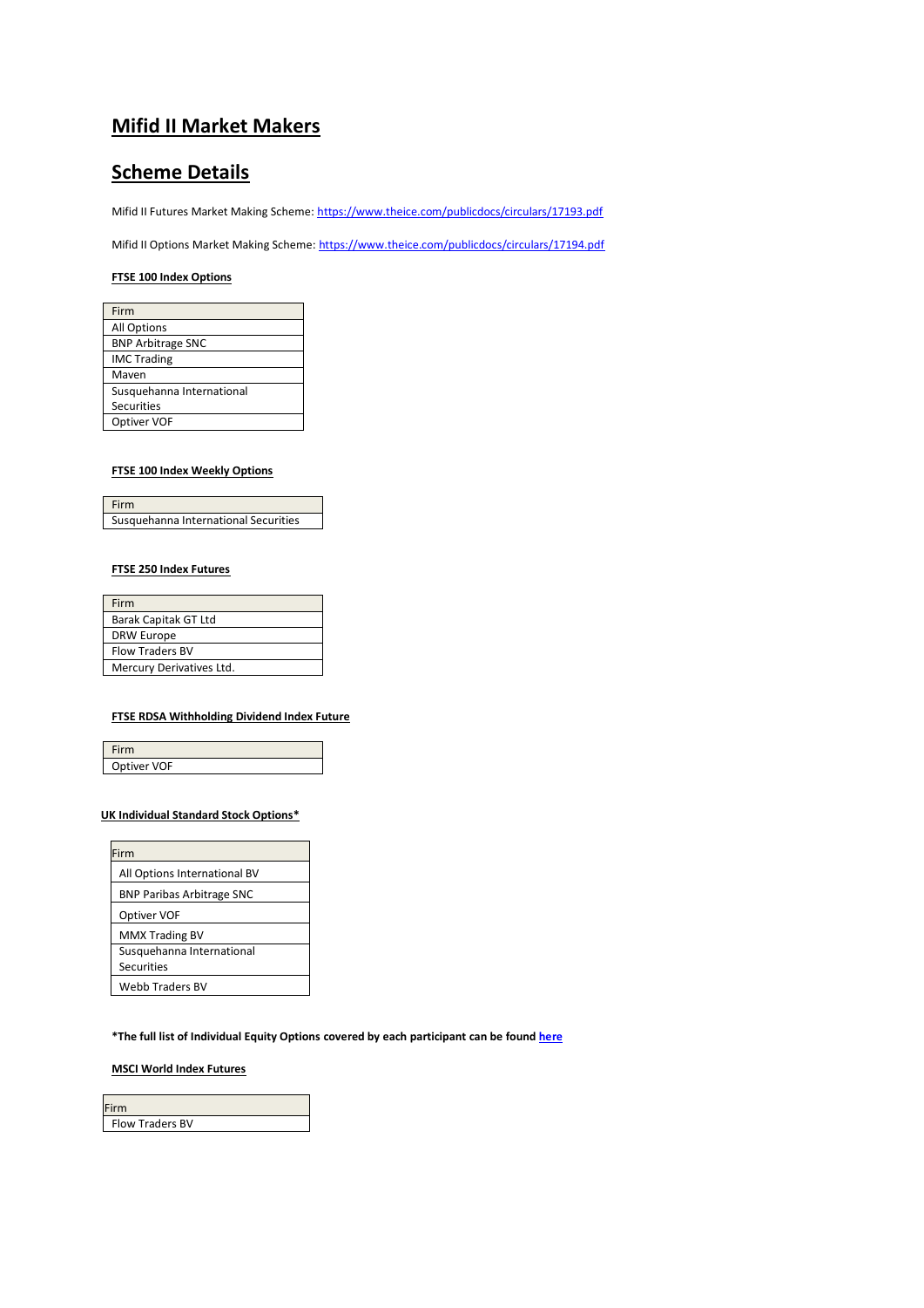# **Mifid II Market Makers**

# **Scheme Details**

Mifid II Futures Market Making Scheme[: https://www.theice.com/publicdocs/circulars/17193.pdf](https://www.theice.com/publicdocs/circulars/17193.pdf)

Mifid II Options Market Making Scheme[: https://www.theice.com/publicdocs/circulars/17194.pdf](https://www.theice.com/publicdocs/circulars/17194.pdf)

#### **FTSE 100 Index Options**

| Firm                      |
|---------------------------|
| <b>All Options</b>        |
| <b>BNP Arbitrage SNC</b>  |
| <b>IMC Trading</b>        |
| Maven                     |
| Susquehanna International |
| Securities                |
| Optiver VOF               |
|                           |

### **FTSE 100 Index Weekly Options**

| Firm                                 |  |
|--------------------------------------|--|
| Susquehanna International Securities |  |

### **FTSE 250 Index Futures**

| Firm                     |
|--------------------------|
| Barak Capitak GT Ltd     |
| <b>DRW Europe</b>        |
| <b>Flow Traders BV</b>   |
| Mercury Derivatives Ltd. |

#### **FTSE RDSA Withholding Dividend Index Future**

| Firm        |  |
|-------------|--|
| Optiver VOF |  |

### **UK Individual Standard Stock Options\***

| Firm                                           |
|------------------------------------------------|
| All Options International BV                   |
| <b>BNP Paribas Arbitrage SNC</b>               |
| Optiver VOF                                    |
| <b>MMX Trading BV</b>                          |
| Susquehanna International<br><b>Securities</b> |
| <b>Webb Traders BV</b>                         |

**\*The full list of Individual Equity Options covered by each participant can be foun[d here](https://www.theice.com/publicdocs/futures/current_liquidity_providers_and_vacant_places.xls)**

## **MSCI World Index Futures**

| Firm                   |  |
|------------------------|--|
| <b>Flow Traders BV</b> |  |
|                        |  |